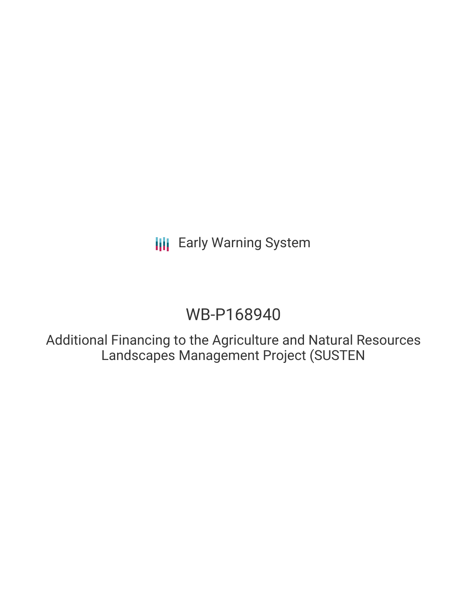# WB-P168940

Additional Financing to the Agriculture and Natural Resources Landscapes Management Project (SUSTEN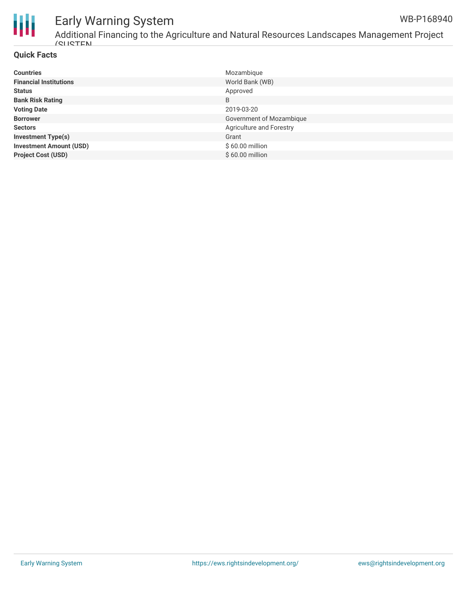

Additional Financing to the Agriculture and Natural Resources Landscapes Management Project (SUSTEN WB-P168940

### **Quick Facts**

| <b>Countries</b>               | Mozambique               |
|--------------------------------|--------------------------|
| <b>Financial Institutions</b>  | World Bank (WB)          |
| <b>Status</b>                  | Approved                 |
| <b>Bank Risk Rating</b>        | B                        |
| <b>Voting Date</b>             | 2019-03-20               |
| <b>Borrower</b>                | Government of Mozambique |
| <b>Sectors</b>                 | Agriculture and Forestry |
| <b>Investment Type(s)</b>      | Grant                    |
| <b>Investment Amount (USD)</b> | \$60.00 million          |
| <b>Project Cost (USD)</b>      | \$60.00 million          |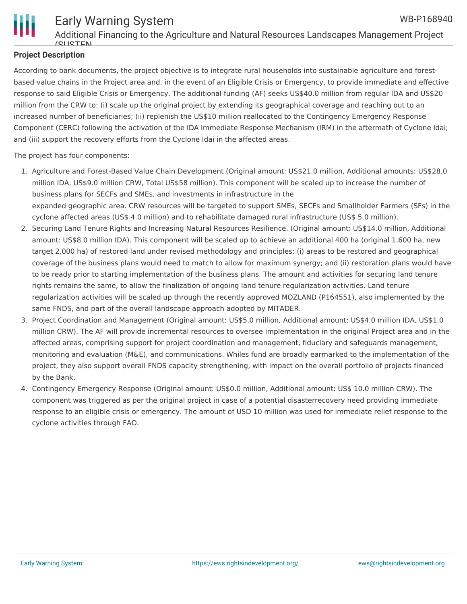

### **Project Description**

According to bank documents, the project objective is to integrate rural households into sustainable agriculture and forestbased value chains in the Project area and, in the event of an Eligible Crisis or Emergency, to provide immediate and effective response to said Eligible Crisis or Emergency. The additional funding (AF) seeks US\$40.0 million from regular IDA and US\$20 million from the CRW to: (i) scale up the original project by extending its geographical coverage and reaching out to an increased number of beneficiaries; (ii) replenish the US\$10 million reallocated to the Contingency Emergency Response Component (CERC) following the activation of the IDA Immediate Response Mechanism (IRM) in the aftermath of Cyclone Idai; and (iii) support the recovery efforts from the Cyclone Idai in the affected areas.

The project has four components:

- 1. Agriculture and Forest-Based Value Chain Development (Original amount: US\$21.0 million, Additional amounts: US\$28.0 million IDA, US\$9.0 million CRW, Total US\$58 million). This component will be scaled up to increase the number of business plans for SECFs and SMEs, and investments in infrastructure in the expanded geographic area. CRW resources will be targeted to support SMEs, SECFs and Smallholder Farmers (SFs) in the cyclone affected areas (US\$ 4.0 million) and to rehabilitate damaged rural infrastructure (US\$ 5.0 million).
- 2. Securing Land Tenure Rights and Increasing Natural Resources Resilience. (Original amount: US\$14.0 million, Additional amount: US\$8.0 million IDA). This component will be scaled up to achieve an additional 400 ha (original 1,600 ha, new target 2,000 ha) of restored land under revised methodology and principles: (i) areas to be restored and geographical coverage of the business plans would need to match to allow for maximum synergy; and (ii) restoration plans would have to be ready prior to starting implementation of the business plans. The amount and activities for securing land tenure rights remains the same, to allow the finalization of ongoing land tenure regularization activities. Land tenure regularization activities will be scaled up through the recently approved MOZLAND (P164551), also implemented by the same FNDS, and part of the overall landscape approach adopted by MITADER.
- 3. Project Coordination and Management (Original amount: US\$5.0 million, Additional amount: US\$4.0 million IDA, US\$1.0 million CRW). The AF will provide incremental resources to oversee implementation in the original Project area and in the affected areas, comprising support for project coordination and management, fiduciary and safeguards management, monitoring and evaluation (M&E), and communications. Whiles fund are broadly earmarked to the implementation of the project, they also support overall FNDS capacity strengthening, with impact on the overall portfolio of projects financed by the Bank.
- 4. Contingency Emergency Response (Original amount: US\$0.0 million, Additional amount: US\$ 10.0 million CRW). The component was triggered as per the original project in case of a potential disasterrecovery need providing immediate response to an eligible crisis or emergency. The amount of USD 10 million was used for immediate relief response to the cyclone activities through FAO.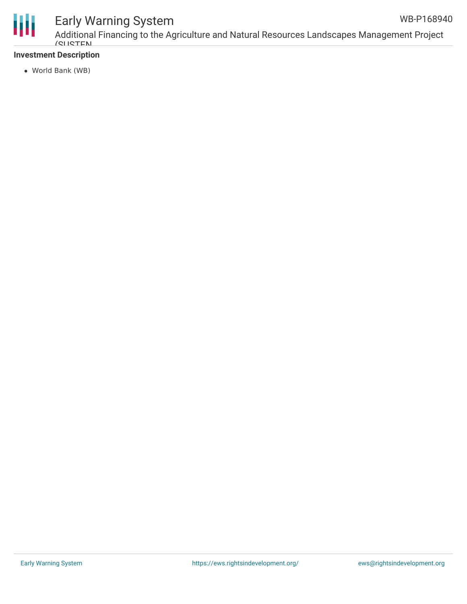

Additional Financing to the Agriculture and Natural Resources Landscapes Management Project (SUSTEN WB-P168940

### **Investment Description**

World Bank (WB)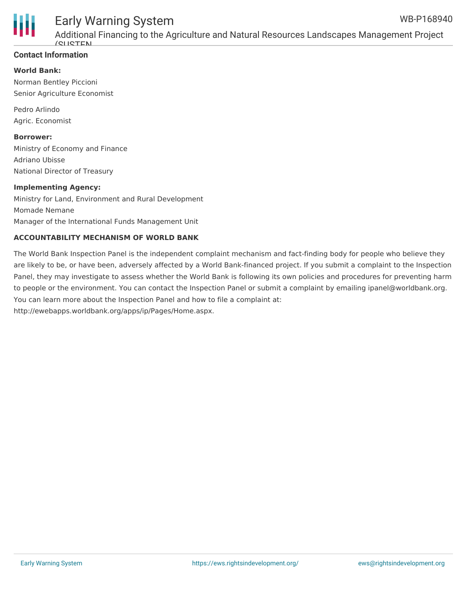

Additional Financing to the Agriculture and Natural Resources Landscapes Management Project (SUSTEN

### **Contact Information**

**World Bank:**

Norman Bentley Piccioni Senior Agriculture Economist

Pedro Arlindo Agric. Economist

#### **Borrower:**

Ministry of Economy and Finance Adriano Ubisse National Director of Treasury

#### **Implementing Agency:**

Ministry for Land, Environment and Rural Development Momade Nemane Manager of the International Funds Management Unit

#### **ACCOUNTABILITY MECHANISM OF WORLD BANK**

The World Bank Inspection Panel is the independent complaint mechanism and fact-finding body for people who believe they are likely to be, or have been, adversely affected by a World Bank-financed project. If you submit a complaint to the Inspection Panel, they may investigate to assess whether the World Bank is following its own policies and procedures for preventing harm to people or the environment. You can contact the Inspection Panel or submit a complaint by emailing ipanel@worldbank.org. You can learn more about the Inspection Panel and how to file a complaint at: http://ewebapps.worldbank.org/apps/ip/Pages/Home.aspx.